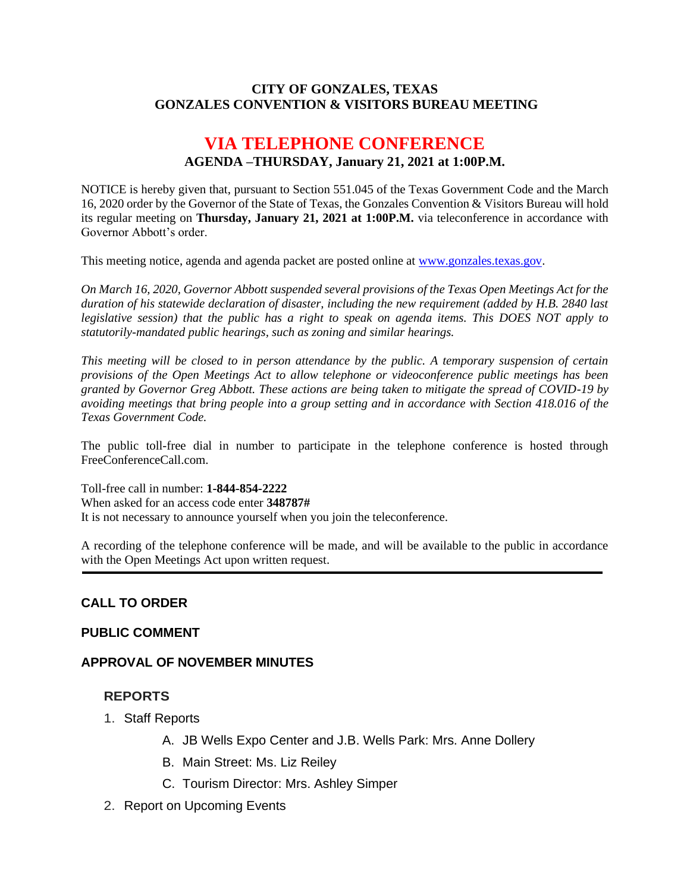#### **CITY OF GONZALES, TEXAS GONZALES CONVENTION & VISITORS BUREAU MEETING**

# **VIA TELEPHONE CONFERENCE AGENDA –THURSDAY, January 21, 2021 at 1:00P.M.**

NOTICE is hereby given that, pursuant to Section 551.045 of the Texas Government Code and the March 16, 2020 order by the Governor of the State of Texas, the Gonzales Convention & Visitors Bureau will hold its regular meeting on **Thursday, January 21, 2021 at 1:00P.M.** via teleconference in accordance with Governor Abbott's order.

This meeting notice, agenda and agenda packet are posted online at [www.gonzales.texas.gov.](http://www.gonzales.texas.gov/)

*On March 16, 2020, Governor Abbott suspended several provisions of the Texas Open Meetings Act for the duration of his statewide declaration of disaster, including the new requirement (added by H.B. 2840 last legislative session) that the public has a right to speak on agenda items. This DOES NOT apply to statutorily-mandated public hearings, such as zoning and similar hearings.* 

*This meeting will be closed to in person attendance by the public. A temporary suspension of certain provisions of the Open Meetings Act to allow telephone or videoconference public meetings has been granted by Governor Greg Abbott. These actions are being taken to mitigate the spread of COVID-19 by avoiding meetings that bring people into a group setting and in accordance with Section 418.016 of the Texas Government Code.*

The public toll-free dial in number to participate in the telephone conference is hosted through FreeConferenceCall.com.

Toll-free call in number: **1-844-854-2222**

When asked for an access code enter **348787#**

It is not necessary to announce yourself when you join the teleconference.

A recording of the telephone conference will be made, and will be available to the public in accordance with the Open Meetings Act upon written request.

#### **CALL TO ORDER**

#### **PUBLIC COMMENT**

#### **APPROVAL OF NOVEMBER MINUTES**

#### **REPORTS**

- 1. Staff Reports
	- A. JB Wells Expo Center and J.B. Wells Park: Mrs. Anne Dollery
	- B. Main Street: Ms. Liz Reiley
	- C. Tourism Director: Mrs. Ashley Simper
- 2. Report on Upcoming Events